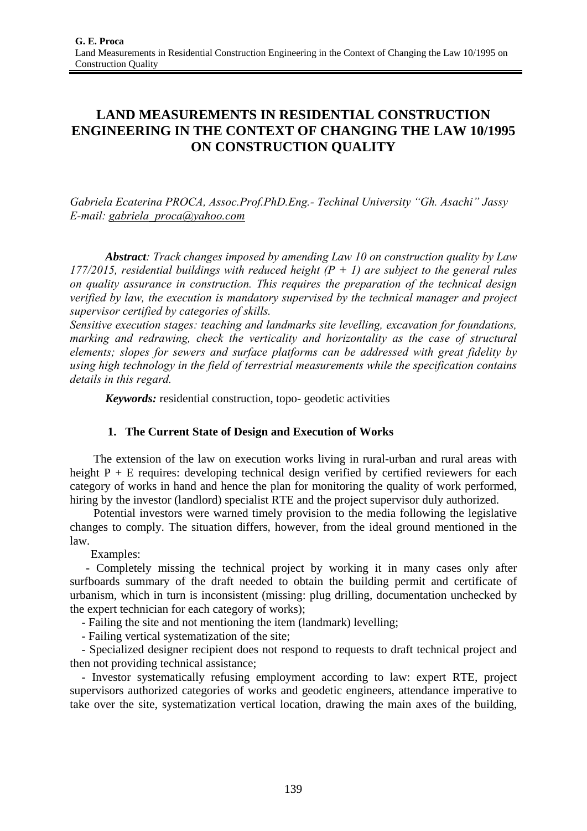# **LAND MEASUREMENTS IN RESIDENTIAL CONSTRUCTION ENGINEERING IN THE CONTEXT OF CHANGING THE LAW 10/1995 ON CONSTRUCTION QUALITY**

*Gabriela Ecaterina PROCA, Assoc.Prof.PhD.Eng.- Techinal University "Gh. Asachi" Jassy E-mail: gabriela\_proca@yahoo.com*

*Abstract: Track changes imposed by amending Law 10 on construction quality by Law 177/2015, residential buildings with reduced height (P + 1) are subject to the general rules on quality assurance in construction. This requires the preparation of the technical design verified by law, the execution is mandatory supervised by the technical manager and project supervisor certified by categories of skills.* 

*Sensitive execution stages: teaching and landmarks site levelling, excavation for foundations, marking and redrawing, check the verticality and horizontality as the case of structural elements; slopes for sewers and surface platforms can be addressed with great fidelity by using high technology in the field of terrestrial measurements while the specification contains details in this regard.* 

*Keywords:* residential construction, topo- geodetic activities

## **1. The Current State of Design and Execution of Works**

The extension of the law on execution works living in rural-urban and rural areas with height  $P + E$  requires: developing technical design verified by certified reviewers for each category of works in hand and hence the plan for monitoring the quality of work performed, hiring by the investor (landlord) specialist RTE and the project supervisor duly authorized.

 Potential investors were warned timely provision to the media following the legislative changes to comply. The situation differs, however, from the ideal ground mentioned in the law.

Examples:

 - Completely missing the technical project by working it in many cases only after surfboards summary of the draft needed to obtain the building permit and certificate of urbanism, which in turn is inconsistent (missing: plug drilling, documentation unchecked by the expert technician for each category of works);

- Failing the site and not mentioning the item (landmark) levelling;

- Failing vertical systematization of the site;

 - Specialized designer recipient does not respond to requests to draft technical project and then not providing technical assistance;

 - Investor systematically refusing employment according to law: expert RTE, project supervisors authorized categories of works and geodetic engineers, attendance imperative to take over the site, systematization vertical location, drawing the main axes of the building,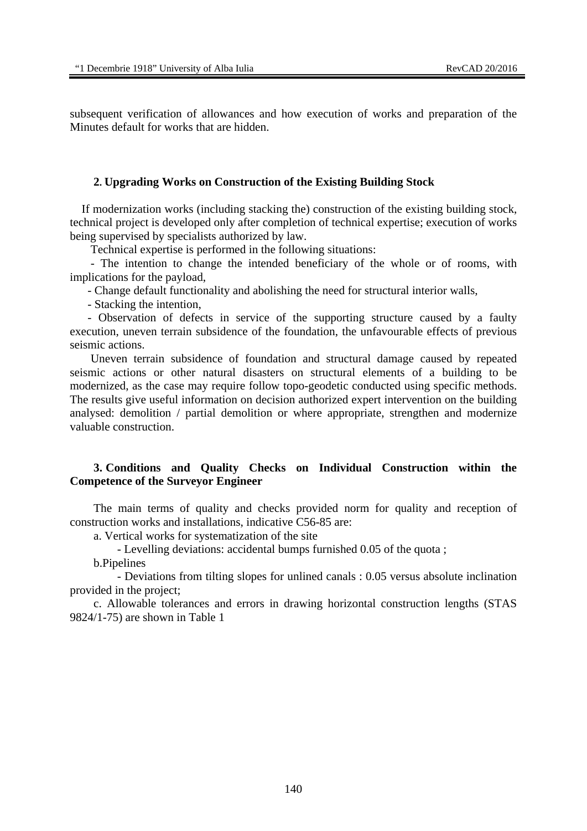subsequent verification of allowances and how execution of works and preparation of the Minutes default for works that are hidden.

#### **2. Upgrading Works on Construction of the Existing Building Stock**

If modernization works (including stacking the) construction of the existing building stock, technical project is developed only after completion of technical expertise; execution of works being supervised by specialists authorized by law.

Technical expertise is performed in the following situations:

 - The intention to change the intended beneficiary of the whole or of rooms, with implications for the payload,

- Change default functionality and abolishing the need for structural interior walls,

- Stacking the intention,

 - Observation of defects in service of the supporting structure caused by a faulty execution, uneven terrain subsidence of the foundation, the unfavourable effects of previous seismic actions.

 Uneven terrain subsidence of foundation and structural damage caused by repeated seismic actions or other natural disasters on structural elements of a building to be modernized, as the case may require follow topo-geodetic conducted using specific methods. The results give useful information on decision authorized expert intervention on the building analysed: demolition / partial demolition or where appropriate, strengthen and modernize valuable construction.

### **3. Conditions and Quality Checks on Individual Construction within the Competence of the Surveyor Engineer**

The main terms of quality and checks provided norm for quality and reception of construction works and installations, indicative C56-85 are:

a. Vertical works for systematization of the site

- Levelling deviations: accidental bumps furnished 0.05 of the quota ;

b.Pipelines

 - Deviations from tilting slopes for unlined canals : 0.05 versus absolute inclination provided in the project;

 c. Allowable tolerances and errors in drawing horizontal construction lengths (STAS 9824/1-75) are shown in Table 1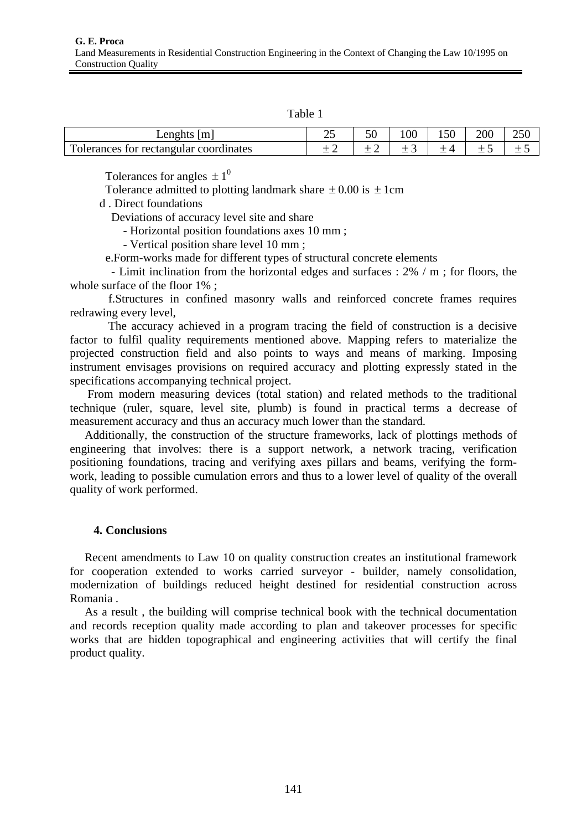| . . |  |
|-----|--|
|     |  |

| Lenghts $ m $                          | ~~<br>ت | م - | 100 | 150 | 200 | າະດ<br>25 U |
|----------------------------------------|---------|-----|-----|-----|-----|-------------|
| Tolerances for rectangular coordinates |         |     |     |     | –   |             |

Tolerances for angles  $\pm 1^0$ 

Tolerance admitted to plotting landmark share  $\pm 0.00$  is  $\pm 1$ cm

d . Direct foundations

Deviations of accuracy level site and share

- Horizontal position foundations axes 10 mm ;

- Vertical position share level 10 mm ;

e.Form-works made for different types of structural concrete elements

 - Limit inclination from the horizontal edges and surfaces : 2% / m ; for floors, the whole surface of the floor 1% ;

 f.Structures in confined masonry walls and reinforced concrete frames requires redrawing every level,

 The accuracy achieved in a program tracing the field of construction is a decisive factor to fulfil quality requirements mentioned above. Mapping refers to materialize the projected construction field and also points to ways and means of marking. Imposing instrument envisages provisions on required accuracy and plotting expressly stated in the specifications accompanying technical project.

 From modern measuring devices (total station) and related methods to the traditional technique (ruler, square, level site, plumb) is found in practical terms a decrease of measurement accuracy and thus an accuracy much lower than the standard.

 Additionally, the construction of the structure frameworks, lack of plottings methods of engineering that involves: there is a support network, a network tracing, verification positioning foundations, tracing and verifying axes pillars and beams, verifying the formwork, leading to possible cumulation errors and thus to a lower level of quality of the overall quality of work performed.

#### **4. Conclusions**

 Recent amendments to Law 10 on quality construction creates an institutional framework for cooperation extended to works carried surveyor - builder, namely consolidation, modernization of buildings reduced height destined for residential construction across Romania .

 As a result , the building will comprise technical book with the technical documentation and records reception quality made according to plan and takeover processes for specific works that are hidden topographical and engineering activities that will certify the final product quality.